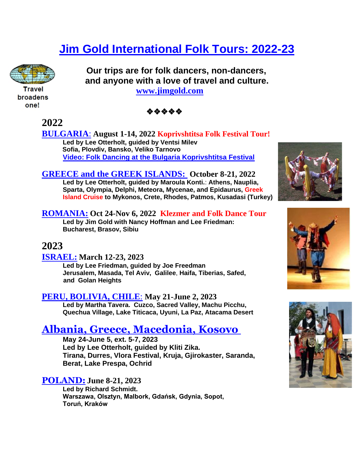# **[Jim Gold International Folk Tours: 2022-23](https://www.jimgold.com/folk-dancing/)**

 **Our trips are for folk dancers, non-dancers, and anyone with a love of travel and culture.** 



Travel broadens one!



 **[www.jimgold.com](http://www.jimgold.com/)**

**2022**

**[BULGARIA](https://www.jimgold.com/bulgaria-koprivshtitsa-folk-festival-tour-august-2022/)**: **August 1-14, 2022 Koprivshtitsa Folk Festival Tour! Led by Lee Otterholt, guided by Ventsi Milev Sofia, Plovdiv, Bansko, Veliko Tarnovo [Video: Folk Dancing at the Bulgaria Koprivshtitsa Festival](https://youtu.be/VPmLETKsx7I?list=PLjW_hFQK0CfzzSTQl99Rbs-JFRKgfn4Px)**

**[GREECE and the GREEK ISLANDS:](https://www.jimgold.com/folk-tours-2/greece-october-2022/) October 8-21, 2022 Led by Lee Otterholt, guided by Maroula Konti.**: **Athens, Nauplia, Sparta, Olympia, Delphi, Meteora, Mycenae, and Epidaurus, Greek Island Cruise to Mykonos, Crete, Rhodes, Patmos, Kusadasi (Turkey)**

**[ROMANIA:](https://www.jimgold.com/folk-tours-2/romania-2022/) Oct 24-Nov 6, 2022 Klezmer and Folk Dance Tour Led by Jim Gold with Nancy Hoffman and Lee Friedman: Bucharest, Brasov, Sibiu**

### **2023**

**[ISRAEL:](https://www.jimgold.com/folk-tours-2/israel-march-13-24-2023/) March 12-23, 2023**

**Led by Lee Friedman, guided by Joe Freedman Jerusalem, Masada, Tel Aviv, Galilee**, **Haifa, Tiberias, Safed, and Golan Heights**

#### **[PERU, BOLIVIA, CHILE](https://www.jimgold.com/folk-tours-2/peru-and-bolivia-may-20-june-1-2023/)**: **May 21-June 2, 2023**

**Led by Martha Tavera. Cuzco, Sacred Valley, Machu Picchu, Quechua Village, Lake Titicaca, Uyuni, La Paz, Atacama Desert**

# **Albania, Greece, [Macedonia,](https://www.jimgold.com/all-folk-tours/albania-kosovo-folk-tour-2023/) Kosovo**

**May 24-June 5, ext. 5-7, 2023 Led by Lee Otterholt, guided by Kliti Zika. Tirana, Durres, Vlora Festival, Kruja, Gjirokaster, Saranda, Berat, Lake Prespa, Ochrid**

### **[POLAND:](https://www.jimgold.com/folk-tours-2/poland-june-7-20-2023/) June 8-21, 2023**

**Led by Richard Schmidt. Warszawa, Olsztyn, Malbork, Gdańsk, Gdynia, Sopot, Toruń, Kraków** 





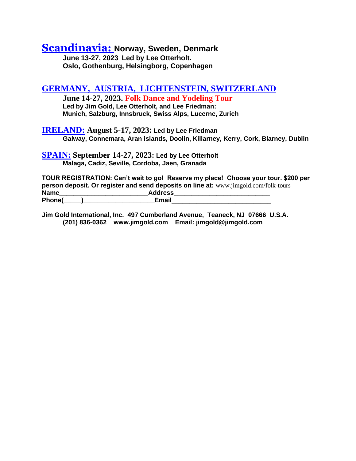## **[Scandinavia:](https://www.jimgold.com/folk-tours-2/norway-denmark-sweden-june-13-27-2023/) Norway, Sweden, Denmark**

**June 13-27, 2023 Led by Lee Otterholt. Oslo, Gothenburg, Helsingborg, Copenhagen**

#### **[GERMANY, AUSTRIA, LICHTENSTEIN, SWITZERLAND](https://www.jimgold.com/folk-tours-2/germany-austria-liechtenstein-switzerland-june-14-227-2023/)**

**June 14-27, 2023. Folk Dance and Yodeling Tour Led by Jim Gold, Lee Otterholt, and Lee Friedman: Munich, Salzburg, Innsbruck, Swiss Alps, Lucerne, Zurich**

**[IRELAND:](https://www.jimgold.com/ireland-august-5-17-2023/) August 5-17, 2023: Led by Lee Friedman Galway, Connemara, Aran islands, Doolin, Killarney, Kerry, Cork, Blarney, Dublin**

**[SPAIN:](https://www.jimgold.com/folk-tours-2018/spain-may-7-20-2020/) September 14-27, 2023: Led by Lee Otterholt Malaga, Cadiz, Seville, Cordoba, Jaen, Granada** 

**TOUR REGISTRATION: Can't wait to go! Reserve my place! Choose your tour. \$200 per person deposit. Or register and send deposits on line at:** [www.jimgold.com/folk-tours](https://www.jimgold.com/folk-tours/) **Name\_\_\_\_\_\_\_\_\_\_\_\_\_\_\_\_\_\_\_\_\_\_\_\_\_Address\_\_\_\_\_\_\_\_\_\_\_\_\_\_\_\_\_\_\_\_\_\_\_\_\_\_\_ Phone(\_\_\_\_\_)\_\_\_\_\_\_\_\_\_\_\_\_\_\_\_\_\_\_\_\_Email**\_\_\_\_\_\_\_\_\_\_\_\_\_\_\_\_\_\_\_\_\_\_\_\_\_\_\_\_

**Jim Gold International, Inc. 497 Cumberland Avenue, Teaneck, NJ 07666 U.S.A. (201) 836-0362 www.jimgold.com Email: jimgold@jimgold.com**